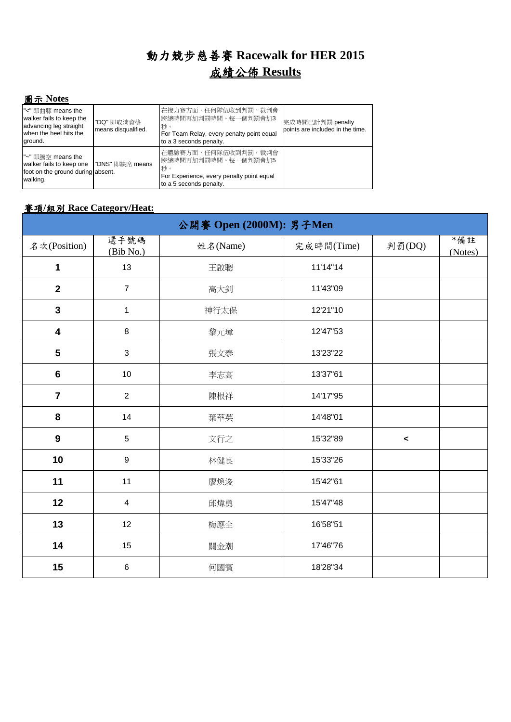#### 圖示 **Notes**

| "<" 即曲膝 means the<br>walker fails to keep the<br>advancing leg straight<br>when the heel hits the<br>ground.    | "DQ" 即取消資格<br>means disqualified. | 在接力赛方面,任何隊伍收到判罰,裁判會<br> 將總時間再加判罰時間。每一個判罰會加3 <br>秒。<br>For Team Relay, every penalty point equal<br>to a 3 seconds penalty. | 完成時間己計判罰 penalty<br>points are included in the time. |
|-----------------------------------------------------------------------------------------------------------------|-----------------------------------|----------------------------------------------------------------------------------------------------------------------------|------------------------------------------------------|
| "~" 即騰空 means the<br>walker fails to keep one  "DNS" 即缺席 means<br>foot on the ground during absent.<br>walking. |                                   | 在體驗赛方面,任何隊伍收到判罰,裁判會<br> 將總時間再加判罰時間。每一個判罰會加5<br>私。<br>For Experience, every penalty point equal<br>to a 5 seconds penalty.  |                                                      |

| 公開賽 Open (2000M): 男子Men |                   |          |            |        |                |  |
|-------------------------|-------------------|----------|------------|--------|----------------|--|
| 名次(Position)            | 選手號碼<br>(Bib No.) | 姓名(Name) | 完成時間(Time) | 判罰(DQ) | *備註<br>(Notes) |  |
| $\mathbf{1}$            | 13                | 王啟聰      | 11'14"14   |        |                |  |
| $\overline{2}$          | $\overline{7}$    | 高大釗      | 11'43"09   |        |                |  |
| $\mathbf{3}$            | $\mathbf{1}$      | 神行太保     | 12'21"10   |        |                |  |
| $\overline{\mathbf{4}}$ | $\,8\,$           | 黎元璋      | 12'47"53   |        |                |  |
| $5\phantom{1}$          | 3                 | 張文泰      | 13'23"22   |        |                |  |
| $\bf 6$                 | 10                | 李志高      | 13'37"61   |        |                |  |
| $\overline{7}$          | $\overline{2}$    | 陳根祥      | 14'17"95   |        |                |  |
| 8                       | 14                | 葉華英      | 14'48"01   |        |                |  |
| $\boldsymbol{9}$        | 5                 | 文行之      | 15'32"89   | $\,<$  |                |  |
| 10                      | $9\,$             | 林健良      | 15'33"26   |        |                |  |
| 11                      | 11                | 廖煥浚      | 15'42"61   |        |                |  |
| 12                      | $\overline{4}$    | 邱煒勇      | 15'47"48   |        |                |  |
| 13                      | 12                | 梅應全      | 16'58"51   |        |                |  |
| 14                      | 15                | 關金潮      | 17'46"76   |        |                |  |
| 15                      | $\,6$             | 何國賓      | 18'28"34   |        |                |  |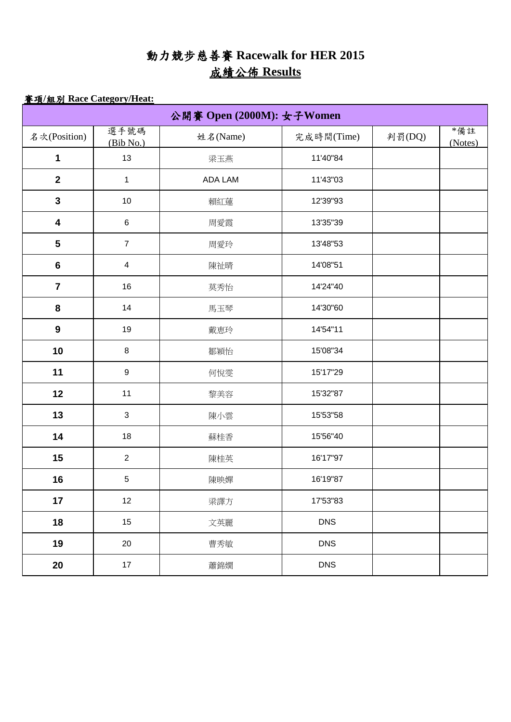| 公開賽 Open (2000M): 女子Women |                         |                |            |        |                |  |
|---------------------------|-------------------------|----------------|------------|--------|----------------|--|
| 名次(Position)              | 選手號碼<br>(Bib No.)       | 姓名(Name)       | 完成時間(Time) | 判罰(DQ) | *備註<br>(Notes) |  |
| $\mathbf 1$               | 13                      | 梁玉燕            | 11'40"84   |        |                |  |
| $\mathbf{2}$              | $\mathbf{1}$            | <b>ADA LAM</b> | 11'43"03   |        |                |  |
| $\mathbf{3}$              | 10                      | 賴紅蓮            | 12'39"93   |        |                |  |
| $\overline{\mathbf{4}}$   | $\,6\,$                 | 周愛霞            | 13'35"39   |        |                |  |
| $5\phantom{.0}$           | $\overline{7}$          | 周愛玲            | 13'48"53   |        |                |  |
| $\bf 6$                   | $\overline{\mathbf{4}}$ | 陳祉晴            | 14'08"51   |        |                |  |
| $\overline{\mathbf{7}}$   | 16                      | 莫秀怡            | 14'24"40   |        |                |  |
| 8                         | 14                      | 馬玉琴            | 14'30"60   |        |                |  |
| 9                         | 19                      | 戴恵玲            | 14'54"11   |        |                |  |
| 10                        | $\bf 8$                 | 鄒穎怡            | 15'08"34   |        |                |  |
| 11                        | $\boldsymbol{9}$        | 何悅雯            | 15'17"29   |        |                |  |
| 12                        | 11                      | 黎美容            | 15'32"87   |        |                |  |
| 13                        | $\mathbf{3}$            | 陳小雲            | 15'53"58   |        |                |  |
| 14                        | 18                      | 蘇桂香            | 15'56"40   |        |                |  |
| 15                        | $\mathbf{2}$            | 陳桂英            | 16'17"97   |        |                |  |
| 16                        | $\sqrt{5}$              | 陳映嬋            | 16'19"87   |        |                |  |
| 17                        | 12                      | 梁譯方            | 17'53"83   |        |                |  |
| 18                        | 15                      | 文英麗            | <b>DNS</b> |        |                |  |
| 19                        | 20                      | 曹秀敏            | <b>DNS</b> |        |                |  |
| 20                        | 17                      | 蕭錦嫺            | <b>DNS</b> |        |                |  |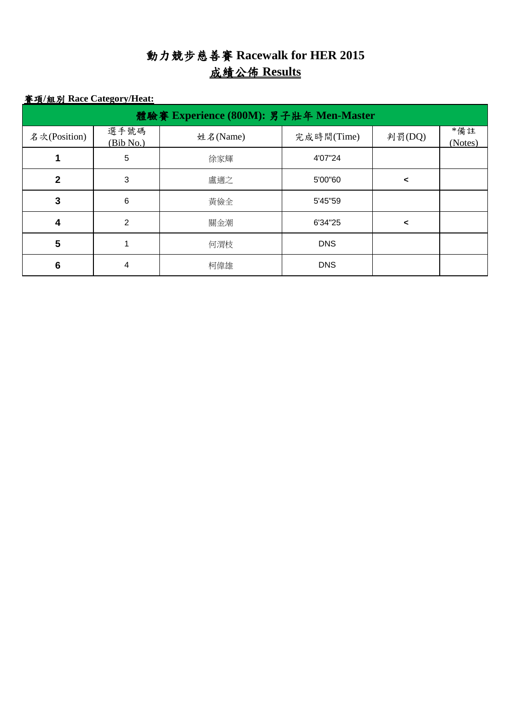| 體驗賽 Experience (800M): 男子壯年 Men-Master |                   |          |            |         |                |  |  |
|----------------------------------------|-------------------|----------|------------|---------|----------------|--|--|
| 名次(Position)                           | 選手號碼<br>(Bib No.) | 姓名(Name) | 完成時間(Time) | 判罰(DQ)  | *備註<br>(Notes) |  |  |
|                                        | 5                 | 徐家輝      | 4'07"24    |         |                |  |  |
| 2                                      | 3                 | 盧適之      | 5'00"60    | $\prec$ |                |  |  |
| 3                                      | 6                 | 黃儉全      | 5'45"59    |         |                |  |  |
| 4                                      | $\overline{2}$    | 關金潮      | 6'34"25    | ≺       |                |  |  |
| 5                                      |                   | 何渭枝      | <b>DNS</b> |         |                |  |  |
| 6                                      | 4                 | 柯偉雄      | <b>DNS</b> |         |                |  |  |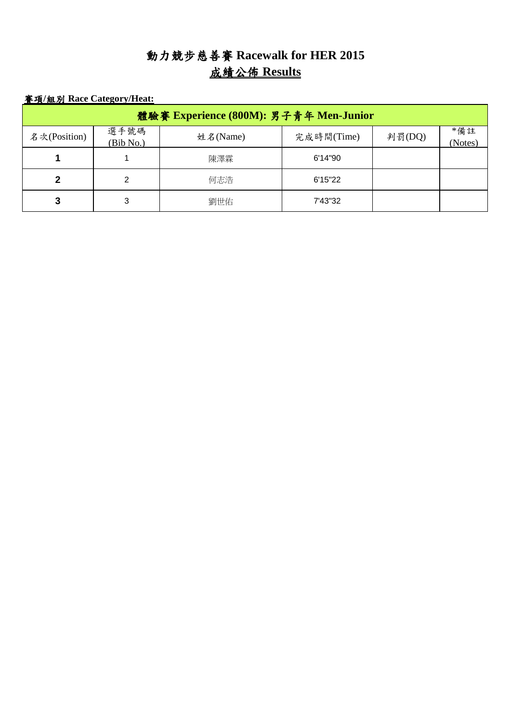| <u> 賽項/組別 Race Category/Heat:</u>      |                   |          |            |        |                |  |  |
|----------------------------------------|-------------------|----------|------------|--------|----------------|--|--|
| 體驗賽 Experience (800M): 男子青年 Men-Junior |                   |          |            |        |                |  |  |
| 名次(Position)                           | 選手號碼<br>(Bib No.) | 姓名(Name) | 完成時間(Time) | 判罰(DQ) | *備註<br>(Notes) |  |  |
|                                        |                   | 陳澤霖      | 6'14"90    |        |                |  |  |
| 2                                      | 2                 | 何志浩      | 6'15"22    |        |                |  |  |
| 3                                      | 3                 | 劉世佑      | 7'43"32    |        |                |  |  |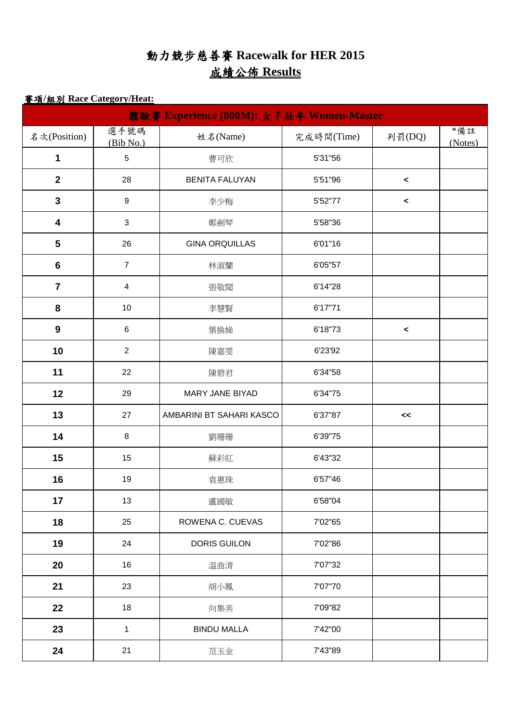| 體驗賽 Experience (800M): 女子壯年 Women-Master |                   |                          |            |        |                |  |  |
|------------------------------------------|-------------------|--------------------------|------------|--------|----------------|--|--|
| 名次(Position)                             | 選手號碼<br>(Bib No.) | 姓名(Name)                 | 完成時間(Time) | 判罰(DQ) | *備註<br>(Notes) |  |  |
| $\mathbf 1$                              | 5                 | 曹可欣                      | 5'31"56    |        |                |  |  |
| $\mathbf{2}$                             | 28                | <b>BENITA FALUYAN</b>    | 5'51"96    | $\,<$  |                |  |  |
| $\mathbf{3}$                             | $\boldsymbol{9}$  | 李少梅                      | 5'52"77    | $\,<$  |                |  |  |
| $\boldsymbol{4}$                         | $\mathbf{3}$      | 鄭劍琴                      | 5'58"36    |        |                |  |  |
| $5\phantom{1}$                           | 26                | <b>GINA ORQUILLAS</b>    | 6'01"16    |        |                |  |  |
| $6\phantom{1}$                           | $\overline{7}$    | 林淑蘭                      | 6'05"57    |        |                |  |  |
| $\overline{\mathbf{7}}$                  | 4                 | 張敬聞                      | 6'14"28    |        |                |  |  |
| 8                                        | 10                | 李慧賢                      | 6'17"71    |        |                |  |  |
| 9                                        | $\,6$             | 葉換娣                      | 6'18"73    | $\,<$  |                |  |  |
| 10                                       | $\overline{2}$    | 陳嘉雯                      | 6'23'92    |        |                |  |  |
| 11                                       | 22                | 陳碧君                      | 6'34"58    |        |                |  |  |
| 12                                       | 29                | MARY JANE BIYAD          | 6'34"75    |        |                |  |  |
| 13                                       | 27                | AMBARINI BT SAHARI KASCO | 6'37"87    | <<     |                |  |  |
| 14                                       | 8                 | 劉珊珊                      | 6'39"75    |        |                |  |  |
| 15                                       | 15                | 蘇彩紅                      | 6'43"32    |        |                |  |  |
| 16                                       | 19                | 袁惠珠                      | 6'57"46    |        |                |  |  |
| 17                                       | 13                | 盧國敏                      | 6'58"04    |        |                |  |  |
| 18                                       | 25                | ROWENA C. CUEVAS         | 7'02"65    |        |                |  |  |
| 19                                       | 24                | <b>DORIS GUILON</b>      | 7'02"86    |        |                |  |  |
| 20                                       | 16                | 温曲清                      | 7'07"32    |        |                |  |  |
| 21                                       | 23                | 胡小鳳                      | 7'07"70    |        |                |  |  |
| 22                                       | 18                | 向集美                      | 7'09"82    |        |                |  |  |
| 23                                       | $\mathbf{1}$      | <b>BINDU MALLA</b>       | 7'42"00    |        |                |  |  |
| 24                                       | 21                | 范玉金                      | 7'43"89    |        |                |  |  |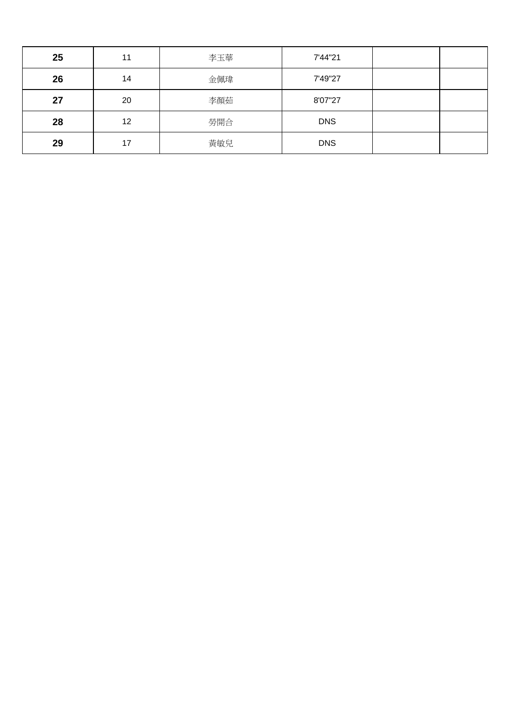| 25 | 11 | 李玉華 | 7'44"21    |  |
|----|----|-----|------------|--|
| 26 | 14 | 金佩瑋 | 7'49"27    |  |
| 27 | 20 | 李顏茹 | 8'07"27    |  |
| 28 | 12 | 勞開合 | <b>DNS</b> |  |
| 29 | 17 | 黃敏兒 | <b>DNS</b> |  |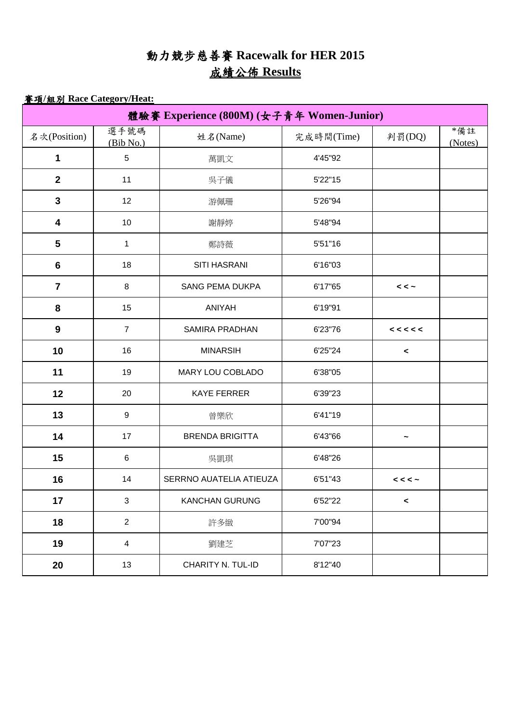| 體驗賽 Experience (800M) (女子青年 Women-Junior) |                         |                            |                 |                          |                |
|-------------------------------------------|-------------------------|----------------------------|-----------------|--------------------------|----------------|
| 名次(Position)                              | 選手號碼<br>(Bib No.)       | 姓名(Name)                   | 完成時間(Time)      | 判罰(DQ)                   | *備註<br>(Notes) |
| 1                                         | $\sqrt{5}$              | 萬凱文                        | 4'45"92         |                          |                |
| $\overline{2}$                            | 11                      | 吳子儀                        | 5'22"15         |                          |                |
| $\mathbf{3}$                              | 12                      | 游佩珊                        | 5'26"94         |                          |                |
| $\overline{\mathbf{4}}$                   | 10                      | 謝靜婷                        | 5'48"94         |                          |                |
| 5                                         | $\mathbf{1}$            | 鄭詩薇                        | 5'51"16         |                          |                |
| $6\phantom{1}$                            | 18                      | <b>SITI HASRANI</b>        | 6'16"03         |                          |                |
| $\overline{\mathbf{7}}$                   | 8                       | <b>SANG PEMA DUKPA</b>     | 6'17"65         | $\prec$ $\sim$           |                |
| 8                                         | 15                      | <b>ANIYAH</b>              | 6'19"91         |                          |                |
| $\boldsymbol{9}$                          | $\overline{7}$          | <b>SAMIRA PRADHAN</b>      | 6'23"76<br><<<< |                          |                |
| 10                                        | 16                      | <b>MINARSIH</b><br>6'25"24 |                 | $\checkmark$             |                |
| 11                                        | 19                      | MARY LOU COBLADO           | 6'38"05         |                          |                |
| 12                                        | 20                      | <b>KAYE FERRER</b>         | 6'39"23         |                          |                |
| 13                                        | $\boldsymbol{9}$        | 曾樂欣                        | 6'41"19         |                          |                |
| 14                                        | 17                      | <b>BRENDA BRIGITTA</b>     | 6'43"66         | ∼                        |                |
| 15                                        | 6                       | 吳凱琪                        | 6'48"26         |                          |                |
| 16                                        | 14                      | SERRNO AUATELIA ATIEUZA    | 6'51"43         | $\lt$ $\lt$ $\lt$ $\sim$ |                |
| 17                                        | $\mathbf{3}$            | <b>KANCHAN GURUNG</b>      | 6'52"22         | $\,<$                    |                |
| 18                                        | $\overline{2}$          | 許多緻                        | 7'00"94         |                          |                |
| 19                                        | $\overline{\mathbf{4}}$ | 劉建芝                        | 7'07"23         |                          |                |
| 20                                        | 13                      | CHARITY N. TUL-ID          | 8'12"40         |                          |                |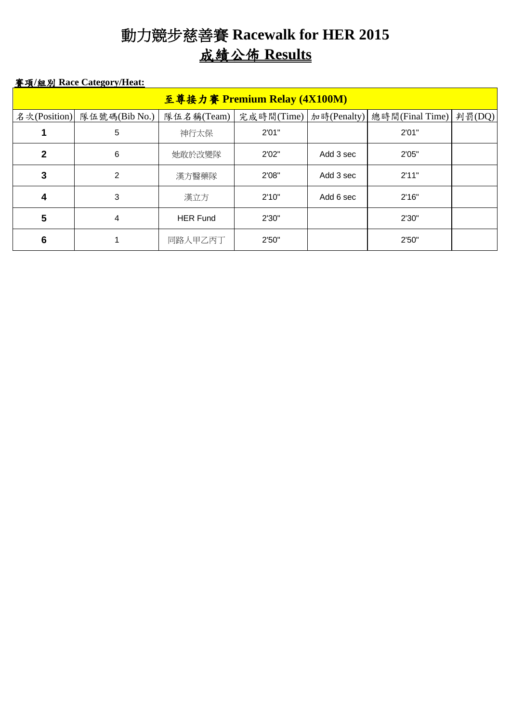| 至尊接力賽 Premium Relay (4X100M) |               |                 |       |           |                                                     |  |  |
|------------------------------|---------------|-----------------|-------|-----------|-----------------------------------------------------|--|--|
| 名次(Position)                 | 隊伍號碼(Bib No.) | 隊伍名稱(Team)      |       |           | 完成時間(Time)   加時(Penalty)   總時間(Final Time)   判罰(DQ) |  |  |
| 1                            | 5             | 神行太保            | 2'01" |           | 2'01"                                               |  |  |
| $\mathbf{2}$                 | 6             | 她敢於改變隊          | 2'02" | Add 3 sec | 2'05"                                               |  |  |
| 3                            | 2             | 漢方醫藥隊           | 2'08" | Add 3 sec | 2'11"                                               |  |  |
| 4                            | 3             | 漢立方             | 2'10" | Add 6 sec | 2'16"                                               |  |  |
| 5                            | 4             | <b>HER Fund</b> | 2'30" |           | 2'30"                                               |  |  |
| 6                            |               | 同路人甲乙丙丁         | 2'50" |           | 2'50"                                               |  |  |